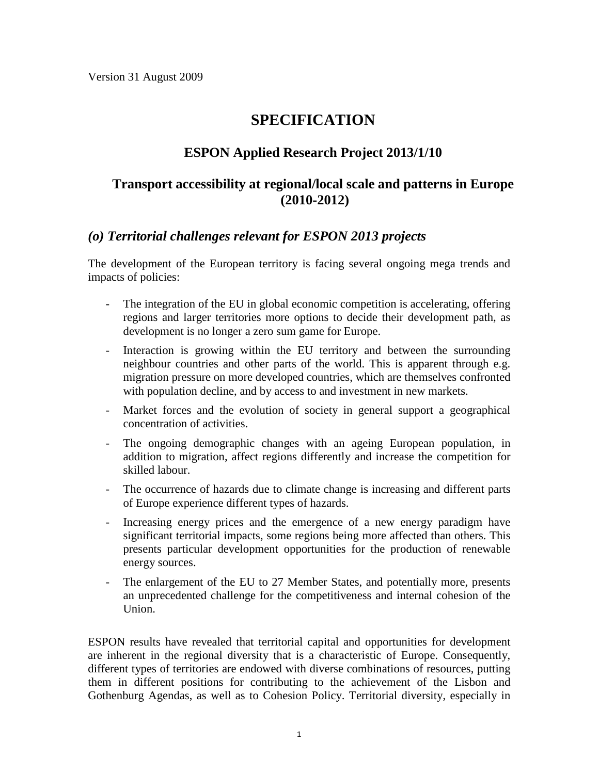# **SPECIFICATION**

# **ESPON Applied Research Project 2013/1/10**

## **Transport accessibility at regional/local scale and patterns in Europe (2010-2012)**

## *(o) Territorial challenges relevant for ESPON 2013 projects*

The development of the European territory is facing several ongoing mega trends and impacts of policies:

- The integration of the EU in global economic competition is accelerating, offering regions and larger territories more options to decide their development path, as development is no longer a zero sum game for Europe.
- Interaction is growing within the EU territory and between the surrounding neighbour countries and other parts of the world. This is apparent through e.g. migration pressure on more developed countries, which are themselves confronted with population decline, and by access to and investment in new markets.
- Market forces and the evolution of society in general support a geographical concentration of activities.
- The ongoing demographic changes with an ageing European population, in addition to migration, affect regions differently and increase the competition for skilled labour.
- The occurrence of hazards due to climate change is increasing and different parts of Europe experience different types of hazards.
- Increasing energy prices and the emergence of a new energy paradigm have significant territorial impacts, some regions being more affected than others. This presents particular development opportunities for the production of renewable energy sources.
- The enlargement of the EU to 27 Member States, and potentially more, presents an unprecedented challenge for the competitiveness and internal cohesion of the Union.

ESPON results have revealed that territorial capital and opportunities for development are inherent in the regional diversity that is a characteristic of Europe. Consequently, different types of territories are endowed with diverse combinations of resources, putting them in different positions for contributing to the achievement of the Lisbon and Gothenburg Agendas, as well as to Cohesion Policy. Territorial diversity, especially in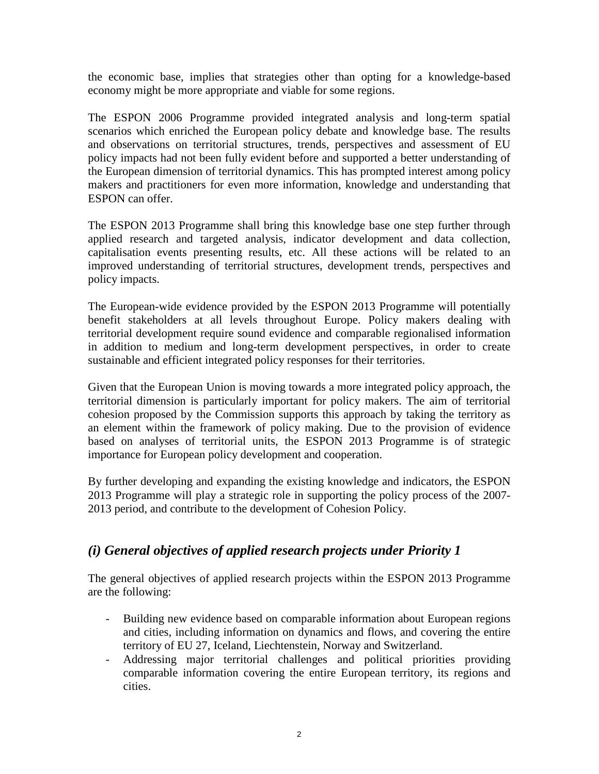the economic base, implies that strategies other than opting for a knowledge-based economy might be more appropriate and viable for some regions.

The ESPON 2006 Programme provided integrated analysis and long-term spatial scenarios which enriched the European policy debate and knowledge base. The results and observations on territorial structures, trends, perspectives and assessment of EU policy impacts had not been fully evident before and supported a better understanding of the European dimension of territorial dynamics. This has prompted interest among policy makers and practitioners for even more information, knowledge and understanding that ESPON can offer.

The ESPON 2013 Programme shall bring this knowledge base one step further through applied research and targeted analysis, indicator development and data collection, capitalisation events presenting results, etc. All these actions will be related to an improved understanding of territorial structures, development trends, perspectives and policy impacts.

The European-wide evidence provided by the ESPON 2013 Programme will potentially benefit stakeholders at all levels throughout Europe. Policy makers dealing with territorial development require sound evidence and comparable regionalised information in addition to medium and long-term development perspectives, in order to create sustainable and efficient integrated policy responses for their territories.

Given that the European Union is moving towards a more integrated policy approach, the territorial dimension is particularly important for policy makers. The aim of territorial cohesion proposed by the Commission supports this approach by taking the territory as an element within the framework of policy making. Due to the provision of evidence based on analyses of territorial units, the ESPON 2013 Programme is of strategic importance for European policy development and cooperation.

By further developing and expanding the existing knowledge and indicators, the ESPON 2013 Programme will play a strategic role in supporting the policy process of the 2007- 2013 period, and contribute to the development of Cohesion Policy.

# *(i) General objectives of applied research projects under Priority 1*

The general objectives of applied research projects within the ESPON 2013 Programme are the following:

- Building new evidence based on comparable information about European regions and cities, including information on dynamics and flows, and covering the entire territory of EU 27, Iceland, Liechtenstein, Norway and Switzerland.
- Addressing major territorial challenges and political priorities providing comparable information covering the entire European territory, its regions and cities.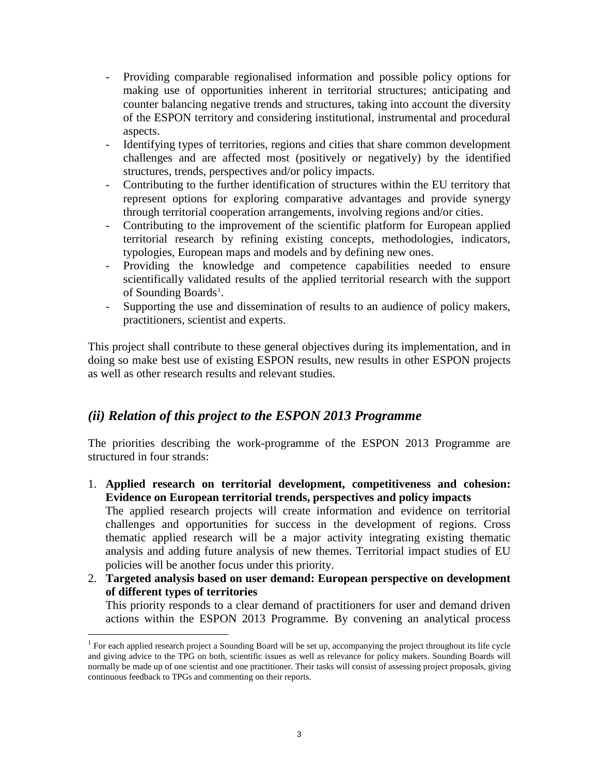- Providing comparable regionalised information and possible policy options for making use of opportunities inherent in territorial structures; anticipating and counter balancing negative trends and structures, taking into account the diversity of the ESPON territory and considering institutional, instrumental and procedural aspects.
- Identifying types of territories, regions and cities that share common development challenges and are affected most (positively or negatively) by the identified structures, trends, perspectives and/or policy impacts.
- Contributing to the further identification of structures within the EU territory that represent options for exploring comparative advantages and provide synergy through territorial cooperation arrangements, involving regions and/or cities.
- Contributing to the improvement of the scientific platform for European applied territorial research by refining existing concepts, methodologies, indicators, typologies, European maps and models and by defining new ones.
- Providing the knowledge and competence capabilities needed to ensure scientifically validated results of the applied territorial research with the support of Sounding Boards<sup>[1](#page-2-0)</sup>.
- Supporting the use and dissemination of results to an audience of policy makers, practitioners, scientist and experts.

This project shall contribute to these general objectives during its implementation, and in doing so make best use of existing ESPON results, new results in other ESPON projects as well as other research results and relevant studies.

# *(ii) Relation of this project to the ESPON 2013 Programme*

The priorities describing the work-programme of the ESPON 2013 Programme are structured in four strands:

1. **Applied research on territorial development, competitiveness and cohesion: Evidence on European territorial trends, perspectives and policy impacts** The applied research projects will create information and evidence on territorial

challenges and opportunities for success in the development of regions. Cross thematic applied research will be a major activity integrating existing thematic analysis and adding future analysis of new themes. Territorial impact studies of EU policies will be another focus under this priority.

2. **Targeted analysis based on user demand: European perspective on development of different types of territories**

This priority responds to a clear demand of practitioners for user and demand driven actions within the ESPON 2013 Programme. By convening an analytical process

<span id="page-2-0"></span><sup>&</sup>lt;sup>1</sup> For each applied research project a Sounding Board will be set up, accompanying the project throughout its life cycle and giving advice to the TPG on both, scientific issues as well as relevance for policy makers. Sounding Boards will normally be made up of one scientist and one practitioner. Their tasks will consist of assessing project proposals, giving continuous feedback to TPGs and commenting on their reports.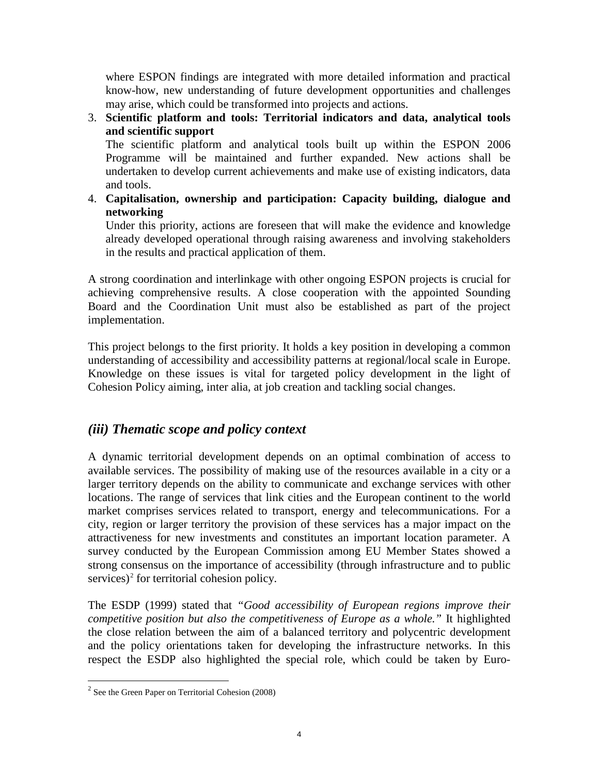where ESPON findings are integrated with more detailed information and practical know-how, new understanding of future development opportunities and challenges may arise, which could be transformed into projects and actions.

3. **Scientific platform and tools: Territorial indicators and data, analytical tools and scientific support** 

The scientific platform and analytical tools built up within the ESPON 2006 Programme will be maintained and further expanded. New actions shall be undertaken to develop current achievements and make use of existing indicators, data and tools.

4. **Capitalisation, ownership and participation: Capacity building, dialogue and networking** 

Under this priority, actions are foreseen that will make the evidence and knowledge already developed operational through raising awareness and involving stakeholders in the results and practical application of them.

A strong coordination and interlinkage with other ongoing ESPON projects is crucial for achieving comprehensive results. A close cooperation with the appointed Sounding Board and the Coordination Unit must also be established as part of the project implementation.

This project belongs to the first priority. It holds a key position in developing a common understanding of accessibility and accessibility patterns at regional/local scale in Europe. Knowledge on these issues is vital for targeted policy development in the light of Cohesion Policy aiming, inter alia, at job creation and tackling social changes.

## *(iii) Thematic scope and policy context*

A dynamic territorial development depends on an optimal combination of access to available services. The possibility of making use of the resources available in a city or a larger territory depends on the ability to communicate and exchange services with other locations. The range of services that link cities and the European continent to the world market comprises services related to transport, energy and telecommunications. For a city, region or larger territory the provision of these services has a major impact on the attractiveness for new investments and constitutes an important location parameter. A survey conducted by the European Commission among EU Member States showed a strong consensus on the importance of accessibility (through infrastructure and to public services)<sup>[2](#page-3-0)</sup> for territorial cohesion policy.

The ESDP (1999) stated that *"Good accessibility of European regions improve their competitive position but also the competitiveness of Europe as a whole."* It highlighted the close relation between the aim of a balanced territory and polycentric development and the policy orientations taken for developing the infrastructure networks. In this respect the ESDP also highlighted the special role, which could be taken by Euro-

<span id="page-3-0"></span> $2^2$  See the Green Paper on Territorial Cohesion (2008)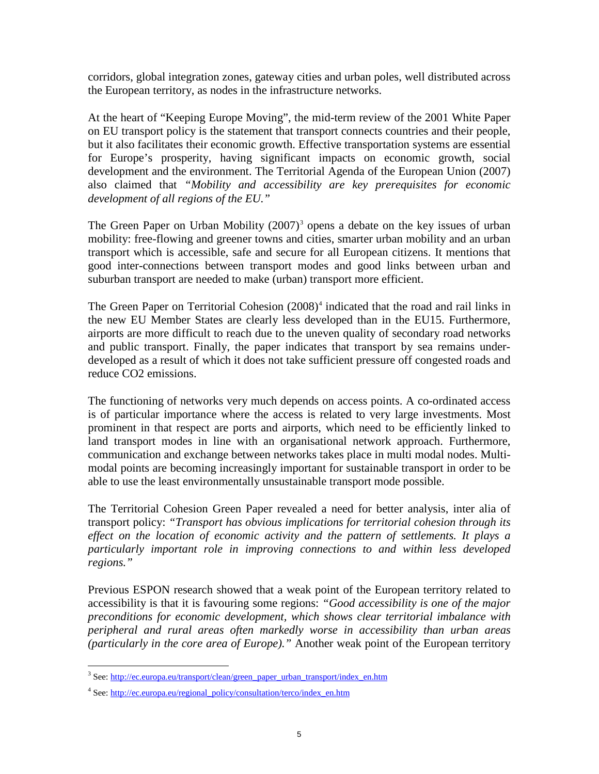corridors, global integration zones, gateway cities and urban poles, well distributed across the European territory, as nodes in the infrastructure networks.

At the heart of "Keeping Europe Moving", the mid-term review of the 2001 White Paper on EU transport policy is the statement that transport connects countries and their people, but it also facilitates their economic growth. Effective transportation systems are essential for Europe's prosperity, having significant impacts on economic growth, social development and the environment. The Territorial Agenda of the European Union (2007) also claimed that *"Mobility and accessibility are key prerequisites for economic development of all regions of the EU."*

The Green Paper on Urban Mobility  $(2007)^3$  $(2007)^3$  opens a debate on the key issues of urban mobility: free-flowing and greener towns and cities, smarter urban mobility and an urban transport which is accessible, safe and secure for all European citizens. It mentions that good inter-connections between transport modes and good links between urban and suburban transport are needed to make (urban) transport more efficient.

The Green Paper on Territorial Cohesion  $(2008)^4$  $(2008)^4$  indicated that the road and rail links in the new EU Member States are clearly less developed than in the EU15. Furthermore, airports are more difficult to reach due to the uneven quality of secondary road networks and public transport. Finally, the paper indicates that transport by sea remains underdeveloped as a result of which it does not take sufficient pressure off congested roads and reduce CO2 emissions.

The functioning of networks very much depends on access points. A co-ordinated access is of particular importance where the access is related to very large investments. Most prominent in that respect are ports and airports, which need to be efficiently linked to land transport modes in line with an organisational network approach. Furthermore, communication and exchange between networks takes place in multi modal nodes. Multimodal points are becoming increasingly important for sustainable transport in order to be able to use the least environmentally unsustainable transport mode possible.

The Territorial Cohesion Green Paper revealed a need for better analysis, inter alia of transport policy: *"Transport has obvious implications for territorial cohesion through its effect on the location of economic activity and the pattern of settlements. It plays a particularly important role in improving connections to and within less developed regions."*

Previous ESPON research showed that a weak point of the European territory related to accessibility is that it is favouring some regions: *"Good accessibility is one of the major preconditions for economic development, which shows clear territorial imbalance with peripheral and rural areas often markedly worse in accessibility than urban areas (particularly in the core area of Europe)."* Another weak point of the European territory

<span id="page-4-0"></span><sup>&</sup>lt;sup>3</sup> See: [http://ec.europa.eu/transport/clean/green\\_paper\\_urban\\_transport/index\\_en.htm](http://ec.europa.eu/transport/clean/green_paper_urban_transport/index_en.htm)

<span id="page-4-1"></span><sup>4</sup> See: [http://ec.europa.eu/regional\\_policy/consultation/terco/index\\_en.htm](http://ec.europa.eu/regional_policy/consultation/terco/index_en.htm)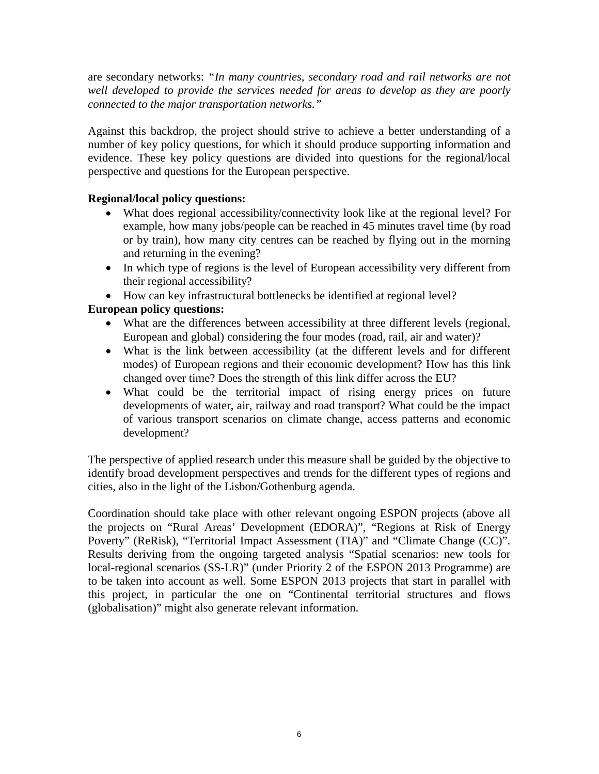are secondary networks: *"In many countries, secondary road and rail networks are not well developed to provide the services needed for areas to develop as they are poorly connected to the major transportation networks."*

Against this backdrop, the project should strive to achieve a better understanding of a number of key policy questions, for which it should produce supporting information and evidence. These key policy questions are divided into questions for the regional/local perspective and questions for the European perspective.

#### **Regional/local policy questions:**

- What does regional accessibility/connectivity look like at the regional level? For example, how many jobs/people can be reached in 45 minutes travel time (by road or by train), how many city centres can be reached by flying out in the morning and returning in the evening?
- In which type of regions is the level of European accessibility very different from their regional accessibility?
- How can key infrastructural bottlenecks be identified at regional level?

### **European policy questions:**

- What are the differences between accessibility at three different levels (regional, European and global) considering the four modes (road, rail, air and water)?
- What is the link between accessibility (at the different levels and for different modes) of European regions and their economic development? How has this link changed over time? Does the strength of this link differ across the EU?
- What could be the territorial impact of rising energy prices on future developments of water, air, railway and road transport? What could be the impact of various transport scenarios on climate change, access patterns and economic development?

The perspective of applied research under this measure shall be guided by the objective to identify broad development perspectives and trends for the different types of regions and cities, also in the light of the Lisbon/Gothenburg agenda.

Coordination should take place with other relevant ongoing ESPON projects (above all the projects on "Rural Areas' Development (EDORA)", "Regions at Risk of Energy Poverty" (ReRisk), "Territorial Impact Assessment (TIA)" and "Climate Change (CC)". Results deriving from the ongoing targeted analysis "Spatial scenarios: new tools for local-regional scenarios (SS-LR)" (under Priority 2 of the ESPON 2013 Programme) are to be taken into account as well. Some ESPON 2013 projects that start in parallel with this project, in particular the one on "Continental territorial structures and flows (globalisation)" might also generate relevant information.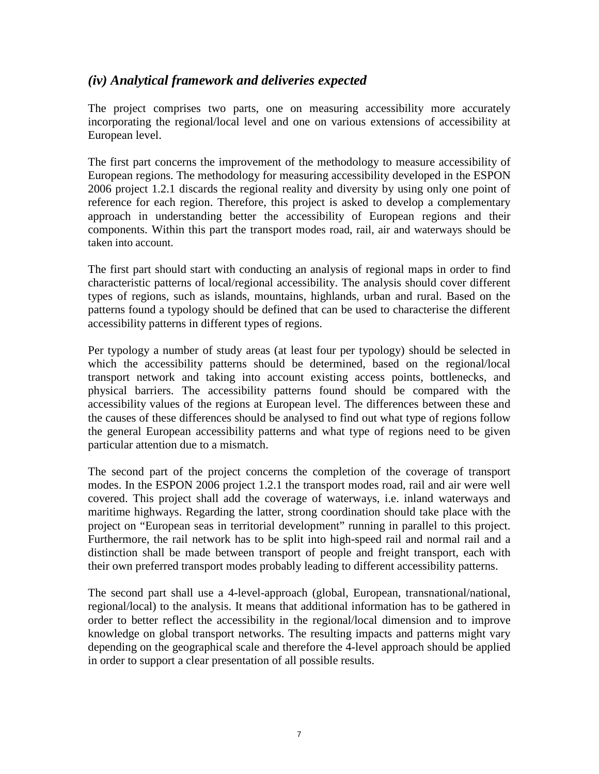## *(iv) Analytical framework and deliveries expected*

The project comprises two parts, one on measuring accessibility more accurately incorporating the regional/local level and one on various extensions of accessibility at European level.

The first part concerns the improvement of the methodology to measure accessibility of European regions. The methodology for measuring accessibility developed in the ESPON 2006 project 1.2.1 discards the regional reality and diversity by using only one point of reference for each region. Therefore, this project is asked to develop a complementary approach in understanding better the accessibility of European regions and their components. Within this part the transport modes road, rail, air and waterways should be taken into account.

The first part should start with conducting an analysis of regional maps in order to find characteristic patterns of local/regional accessibility. The analysis should cover different types of regions, such as islands, mountains, highlands, urban and rural. Based on the patterns found a typology should be defined that can be used to characterise the different accessibility patterns in different types of regions.

Per typology a number of study areas (at least four per typology) should be selected in which the accessibility patterns should be determined, based on the regional/local transport network and taking into account existing access points, bottlenecks, and physical barriers. The accessibility patterns found should be compared with the accessibility values of the regions at European level. The differences between these and the causes of these differences should be analysed to find out what type of regions follow the general European accessibility patterns and what type of regions need to be given particular attention due to a mismatch.

The second part of the project concerns the completion of the coverage of transport modes. In the ESPON 2006 project 1.2.1 the transport modes road, rail and air were well covered. This project shall add the coverage of waterways, i.e. inland waterways and maritime highways. Regarding the latter, strong coordination should take place with the project on "European seas in territorial development" running in parallel to this project. Furthermore, the rail network has to be split into high-speed rail and normal rail and a distinction shall be made between transport of people and freight transport, each with their own preferred transport modes probably leading to different accessibility patterns.

The second part shall use a 4-level-approach (global, European, transnational/national, regional/local) to the analysis. It means that additional information has to be gathered in order to better reflect the accessibility in the regional/local dimension and to improve knowledge on global transport networks. The resulting impacts and patterns might vary depending on the geographical scale and therefore the 4-level approach should be applied in order to support a clear presentation of all possible results.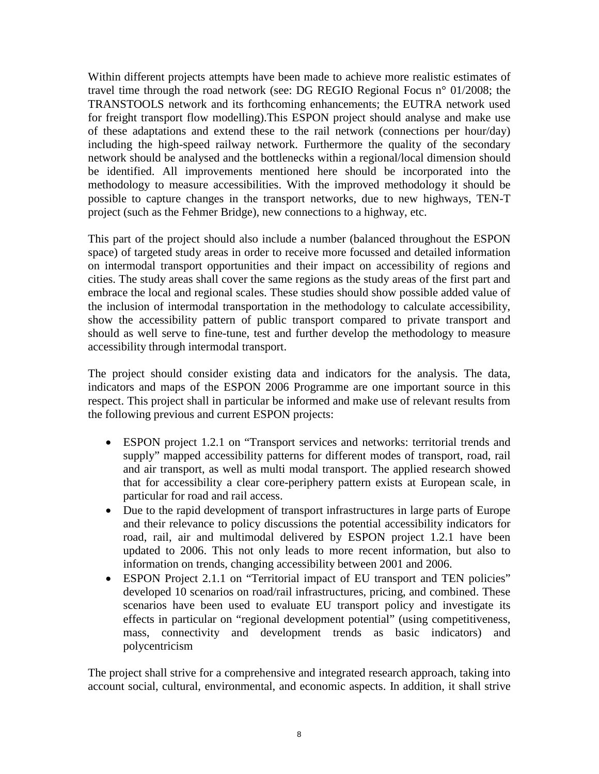Within different projects attempts have been made to achieve more realistic estimates of travel time through the road network (see: DG REGIO Regional Focus n° 01/2008; the TRANSTOOLS network and its forthcoming enhancements; the EUTRA network used for freight transport flow modelling).This ESPON project should analyse and make use of these adaptations and extend these to the rail network (connections per hour/day) including the high-speed railway network. Furthermore the quality of the secondary network should be analysed and the bottlenecks within a regional/local dimension should be identified. All improvements mentioned here should be incorporated into the methodology to measure accessibilities. With the improved methodology it should be possible to capture changes in the transport networks, due to new highways, TEN-T project (such as the Fehmer Bridge), new connections to a highway, etc.

This part of the project should also include a number (balanced throughout the ESPON space) of targeted study areas in order to receive more focussed and detailed information on intermodal transport opportunities and their impact on accessibility of regions and cities. The study areas shall cover the same regions as the study areas of the first part and embrace the local and regional scales. These studies should show possible added value of the inclusion of intermodal transportation in the methodology to calculate accessibility, show the accessibility pattern of public transport compared to private transport and should as well serve to fine-tune, test and further develop the methodology to measure accessibility through intermodal transport.

The project should consider existing data and indicators for the analysis. The data, indicators and maps of the ESPON 2006 Programme are one important source in this respect. This project shall in particular be informed and make use of relevant results from the following previous and current ESPON projects:

- ESPON project 1.2.1 on "Transport services and networks: territorial trends and supply" mapped accessibility patterns for different modes of transport, road, rail and air transport, as well as multi modal transport. The applied research showed that for accessibility a clear core-periphery pattern exists at European scale, in particular for road and rail access.
- Due to the rapid development of transport infrastructures in large parts of Europe and their relevance to policy discussions the potential accessibility indicators for road, rail, air and multimodal delivered by ESPON project 1.2.1 have been updated to 2006. This not only leads to more recent information, but also to information on trends, changing accessibility between 2001 and 2006.
- ESPON Project 2.1.1 on "Territorial impact of EU transport and TEN policies" developed 10 scenarios on road/rail infrastructures, pricing, and combined. These scenarios have been used to evaluate EU transport policy and investigate its effects in particular on "regional development potential" (using competitiveness, mass, connectivity and development trends as basic indicators) and polycentricism

The project shall strive for a comprehensive and integrated research approach, taking into account social, cultural, environmental, and economic aspects. In addition, it shall strive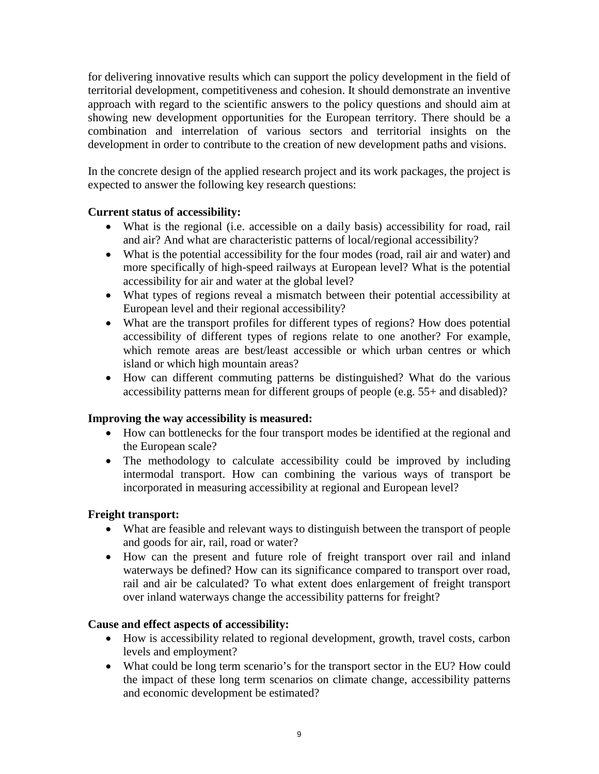for delivering innovative results which can support the policy development in the field of territorial development, competitiveness and cohesion. It should demonstrate an inventive approach with regard to the scientific answers to the policy questions and should aim at showing new development opportunities for the European territory. There should be a combination and interrelation of various sectors and territorial insights on the development in order to contribute to the creation of new development paths and visions.

In the concrete design of the applied research project and its work packages, the project is expected to answer the following key research questions:

#### **Current status of accessibility:**

- What is the regional (i.e. accessible on a daily basis) accessibility for road, rail and air? And what are characteristic patterns of local/regional accessibility?
- What is the potential accessibility for the four modes (road, rail air and water) and more specifically of high-speed railways at European level? What is the potential accessibility for air and water at the global level?
- What types of regions reveal a mismatch between their potential accessibility at European level and their regional accessibility?
- What are the transport profiles for different types of regions? How does potential accessibility of different types of regions relate to one another? For example, which remote areas are best/least accessible or which urban centres or which island or which high mountain areas?
- How can different commuting patterns be distinguished? What do the various accessibility patterns mean for different groups of people (e.g. 55+ and disabled)?

#### **Improving the way accessibility is measured:**

- How can bottlenecks for the four transport modes be identified at the regional and the European scale?
- The methodology to calculate accessibility could be improved by including intermodal transport. How can combining the various ways of transport be incorporated in measuring accessibility at regional and European level?

### **Freight transport:**

- What are feasible and relevant ways to distinguish between the transport of people and goods for air, rail, road or water?
- How can the present and future role of freight transport over rail and inland waterways be defined? How can its significance compared to transport over road, rail and air be calculated? To what extent does enlargement of freight transport over inland waterways change the accessibility patterns for freight?

### **Cause and effect aspects of accessibility:**

- How is accessibility related to regional development, growth, travel costs, carbon levels and employment?
- What could be long term scenario's for the transport sector in the EU? How could the impact of these long term scenarios on climate change, accessibility patterns and economic development be estimated?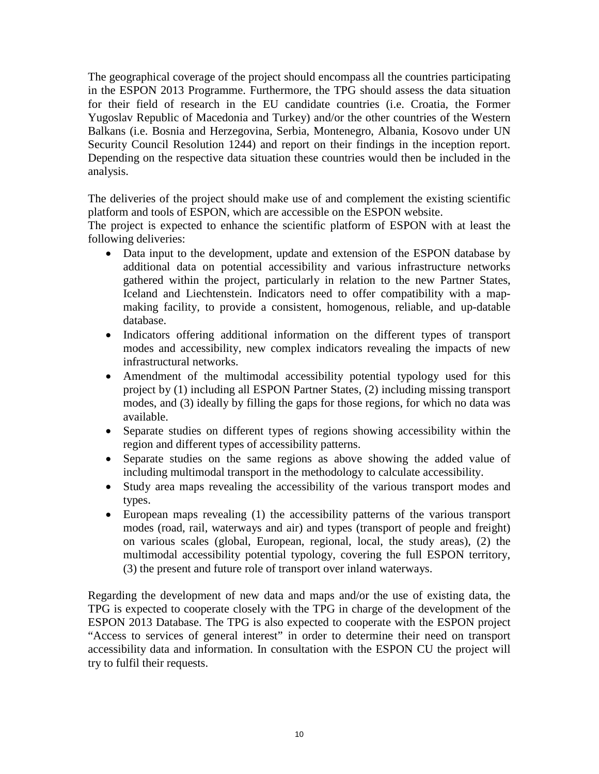The geographical coverage of the project should encompass all the countries participating in the ESPON 2013 Programme. Furthermore, the TPG should assess the data situation for their field of research in the EU candidate countries (i.e. Croatia, the Former Yugoslav Republic of Macedonia and Turkey) and/or the other countries of the Western Balkans (i.e. Bosnia and Herzegovina, Serbia, Montenegro, Albania, Kosovo under UN Security Council Resolution 1244) and report on their findings in the inception report. Depending on the respective data situation these countries would then be included in the analysis.

The deliveries of the project should make use of and complement the existing scientific platform and tools of ESPON, which are accessible on the ESPON website.

The project is expected to enhance the scientific platform of ESPON with at least the following deliveries:

- Data input to the development, update and extension of the ESPON database by additional data on potential accessibility and various infrastructure networks gathered within the project, particularly in relation to the new Partner States, Iceland and Liechtenstein. Indicators need to offer compatibility with a mapmaking facility, to provide a consistent, homogenous, reliable, and up-datable database.
- Indicators offering additional information on the different types of transport modes and accessibility, new complex indicators revealing the impacts of new infrastructural networks.
- Amendment of the multimodal accessibility potential typology used for this project by (1) including all ESPON Partner States, (2) including missing transport modes, and (3) ideally by filling the gaps for those regions, for which no data was available.
- Separate studies on different types of regions showing accessibility within the region and different types of accessibility patterns.
- Separate studies on the same regions as above showing the added value of including multimodal transport in the methodology to calculate accessibility.
- Study area maps revealing the accessibility of the various transport modes and types.
- European maps revealing (1) the accessibility patterns of the various transport modes (road, rail, waterways and air) and types (transport of people and freight) on various scales (global, European, regional, local, the study areas), (2) the multimodal accessibility potential typology, covering the full ESPON territory, (3) the present and future role of transport over inland waterways.

Regarding the development of new data and maps and/or the use of existing data, the TPG is expected to cooperate closely with the TPG in charge of the development of the ESPON 2013 Database. The TPG is also expected to cooperate with the ESPON project "Access to services of general interest" in order to determine their need on transport accessibility data and information. In consultation with the ESPON CU the project will try to fulfil their requests.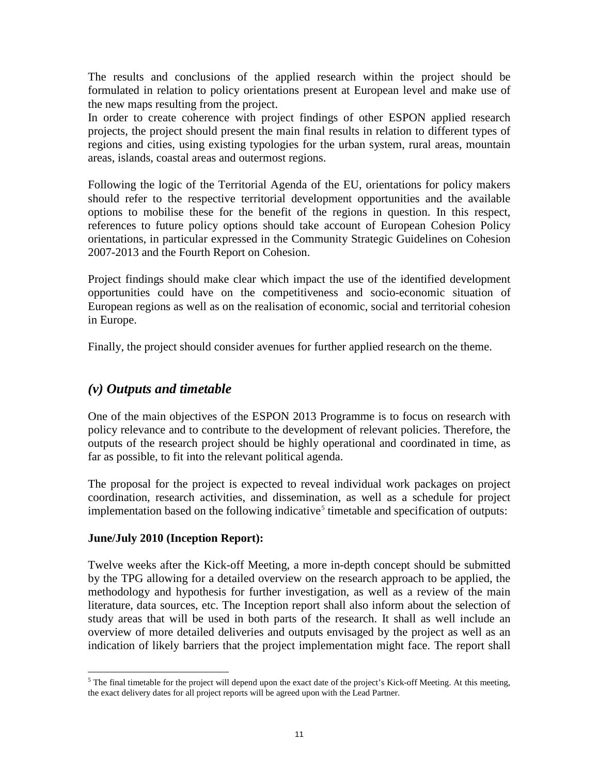The results and conclusions of the applied research within the project should be formulated in relation to policy orientations present at European level and make use of the new maps resulting from the project.

In order to create coherence with project findings of other ESPON applied research projects, the project should present the main final results in relation to different types of regions and cities, using existing typologies for the urban system, rural areas, mountain areas, islands, coastal areas and outermost regions.

Following the logic of the Territorial Agenda of the EU, orientations for policy makers should refer to the respective territorial development opportunities and the available options to mobilise these for the benefit of the regions in question. In this respect, references to future policy options should take account of European Cohesion Policy orientations, in particular expressed in the Community Strategic Guidelines on Cohesion 2007-2013 and the Fourth Report on Cohesion.

Project findings should make clear which impact the use of the identified development opportunities could have on the competitiveness and socio-economic situation of European regions as well as on the realisation of economic, social and territorial cohesion in Europe.

Finally, the project should consider avenues for further applied research on the theme.

## *(v) Outputs and timetable*

One of the main objectives of the ESPON 2013 Programme is to focus on research with policy relevance and to contribute to the development of relevant policies. Therefore, the outputs of the research project should be highly operational and coordinated in time, as far as possible, to fit into the relevant political agenda.

The proposal for the project is expected to reveal individual work packages on project coordination, research activities, and dissemination, as well as a schedule for project implementation based on the following indicative<sup>[5](#page-10-0)</sup> timetable and specification of outputs:

### **June/July 2010 (Inception Report):**

Twelve weeks after the Kick-off Meeting, a more in-depth concept should be submitted by the TPG allowing for a detailed overview on the research approach to be applied, the methodology and hypothesis for further investigation, as well as a review of the main literature, data sources, etc. The Inception report shall also inform about the selection of study areas that will be used in both parts of the research. It shall as well include an overview of more detailed deliveries and outputs envisaged by the project as well as an indication of likely barriers that the project implementation might face. The report shall

<span id="page-10-0"></span><sup>&</sup>lt;sup>5</sup> The final timetable for the project will depend upon the exact date of the project's Kick-off Meeting. At this meeting, the exact delivery dates for all project reports will be agreed upon with the Lead Partner.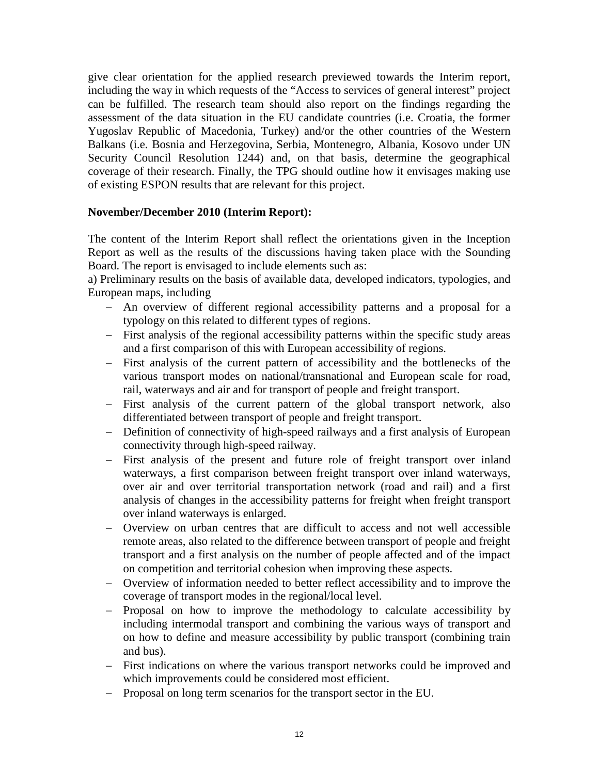give clear orientation for the applied research previewed towards the Interim report, including the way in which requests of the "Access to services of general interest" project can be fulfilled. The research team should also report on the findings regarding the assessment of the data situation in the EU candidate countries (i.e. Croatia, the former Yugoslav Republic of Macedonia, Turkey) and/or the other countries of the Western Balkans (i.e. Bosnia and Herzegovina, Serbia, Montenegro, Albania, Kosovo under UN Security Council Resolution 1244) and, on that basis, determine the geographical coverage of their research. Finally, the TPG should outline how it envisages making use of existing ESPON results that are relevant for this project.

#### **November/December 2010 (Interim Report):**

The content of the Interim Report shall reflect the orientations given in the Inception Report as well as the results of the discussions having taken place with the Sounding Board. The report is envisaged to include elements such as:

a) Preliminary results on the basis of available data, developed indicators, typologies, and European maps, including

- − An overview of different regional accessibility patterns and a proposal for a typology on this related to different types of regions.
- − First analysis of the regional accessibility patterns within the specific study areas and a first comparison of this with European accessibility of regions.
- − First analysis of the current pattern of accessibility and the bottlenecks of the various transport modes on national/transnational and European scale for road, rail, waterways and air and for transport of people and freight transport.
- − First analysis of the current pattern of the global transport network, also differentiated between transport of people and freight transport.
- − Definition of connectivity of high-speed railways and a first analysis of European connectivity through high-speed railway.
- − First analysis of the present and future role of freight transport over inland waterways, a first comparison between freight transport over inland waterways, over air and over territorial transportation network (road and rail) and a first analysis of changes in the accessibility patterns for freight when freight transport over inland waterways is enlarged.
- − Overview on urban centres that are difficult to access and not well accessible remote areas, also related to the difference between transport of people and freight transport and a first analysis on the number of people affected and of the impact on competition and territorial cohesion when improving these aspects.
- − Overview of information needed to better reflect accessibility and to improve the coverage of transport modes in the regional/local level.
- − Proposal on how to improve the methodology to calculate accessibility by including intermodal transport and combining the various ways of transport and on how to define and measure accessibility by public transport (combining train and bus).
- − First indications on where the various transport networks could be improved and which improvements could be considered most efficient.
- − Proposal on long term scenarios for the transport sector in the EU.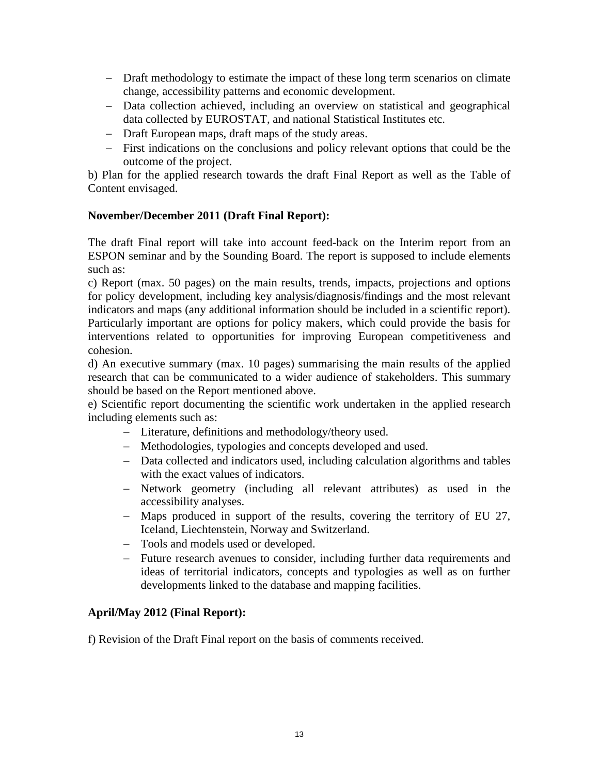- − Draft methodology to estimate the impact of these long term scenarios on climate change, accessibility patterns and economic development.
- − Data collection achieved, including an overview on statistical and geographical data collected by EUROSTAT, and national Statistical Institutes etc.
- − Draft European maps, draft maps of the study areas.
- − First indications on the conclusions and policy relevant options that could be the outcome of the project.

b) Plan for the applied research towards the draft Final Report as well as the Table of Content envisaged.

#### **November/December 2011 (Draft Final Report):**

The draft Final report will take into account feed-back on the Interim report from an ESPON seminar and by the Sounding Board. The report is supposed to include elements such as:

c) Report (max. 50 pages) on the main results, trends, impacts, projections and options for policy development, including key analysis/diagnosis/findings and the most relevant indicators and maps (any additional information should be included in a scientific report). Particularly important are options for policy makers, which could provide the basis for interventions related to opportunities for improving European competitiveness and cohesion.

d) An executive summary (max. 10 pages) summarising the main results of the applied research that can be communicated to a wider audience of stakeholders. This summary should be based on the Report mentioned above.

e) Scientific report documenting the scientific work undertaken in the applied research including elements such as:

- − Literature, definitions and methodology/theory used.
- − Methodologies, typologies and concepts developed and used.
- − Data collected and indicators used, including calculation algorithms and tables with the exact values of indicators.
- − Network geometry (including all relevant attributes) as used in the accessibility analyses.
- − Maps produced in support of the results, covering the territory of EU 27, Iceland, Liechtenstein, Norway and Switzerland.
- − Tools and models used or developed.
- − Future research avenues to consider, including further data requirements and ideas of territorial indicators, concepts and typologies as well as on further developments linked to the database and mapping facilities.

#### **April/May 2012 (Final Report):**

f) Revision of the Draft Final report on the basis of comments received.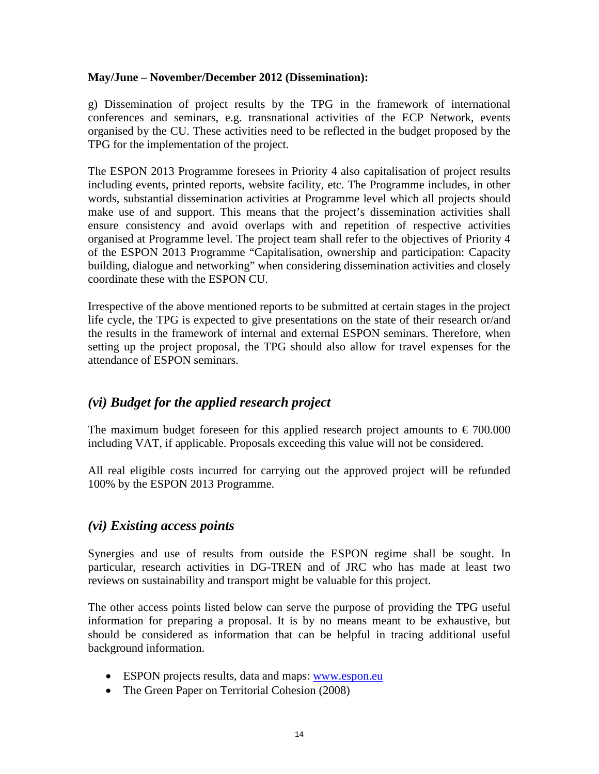#### **May/June – November/December 2012 (Dissemination):**

g) Dissemination of project results by the TPG in the framework of international conferences and seminars, e.g. transnational activities of the ECP Network, events organised by the CU. These activities need to be reflected in the budget proposed by the TPG for the implementation of the project.

The ESPON 2013 Programme foresees in Priority 4 also capitalisation of project results including events, printed reports, website facility, etc. The Programme includes, in other words, substantial dissemination activities at Programme level which all projects should make use of and support. This means that the project's dissemination activities shall ensure consistency and avoid overlaps with and repetition of respective activities organised at Programme level. The project team shall refer to the objectives of Priority 4 of the ESPON 2013 Programme "Capitalisation, ownership and participation: Capacity building, dialogue and networking" when considering dissemination activities and closely coordinate these with the ESPON CU.

Irrespective of the above mentioned reports to be submitted at certain stages in the project life cycle, the TPG is expected to give presentations on the state of their research or/and the results in the framework of internal and external ESPON seminars. Therefore, when setting up the project proposal, the TPG should also allow for travel expenses for the attendance of ESPON seminars.

### *(vi) Budget for the applied research project*

The maximum budget foreseen for this applied research project amounts to  $\epsilon$  700.000 including VAT, if applicable. Proposals exceeding this value will not be considered.

All real eligible costs incurred for carrying out the approved project will be refunded 100% by the ESPON 2013 Programme.

### *(vi) Existing access points*

Synergies and use of results from outside the ESPON regime shall be sought. In particular, research activities in DG-TREN and of JRC who has made at least two reviews on sustainability and transport might be valuable for this project.

The other access points listed below can serve the purpose of providing the TPG useful information for preparing a proposal. It is by no means meant to be exhaustive, but should be considered as information that can be helpful in tracing additional useful background information.

- ESPON projects results, data and maps: [www.espon.eu](http://www.espon.eu/)
- The Green Paper on Territorial Cohesion (2008)